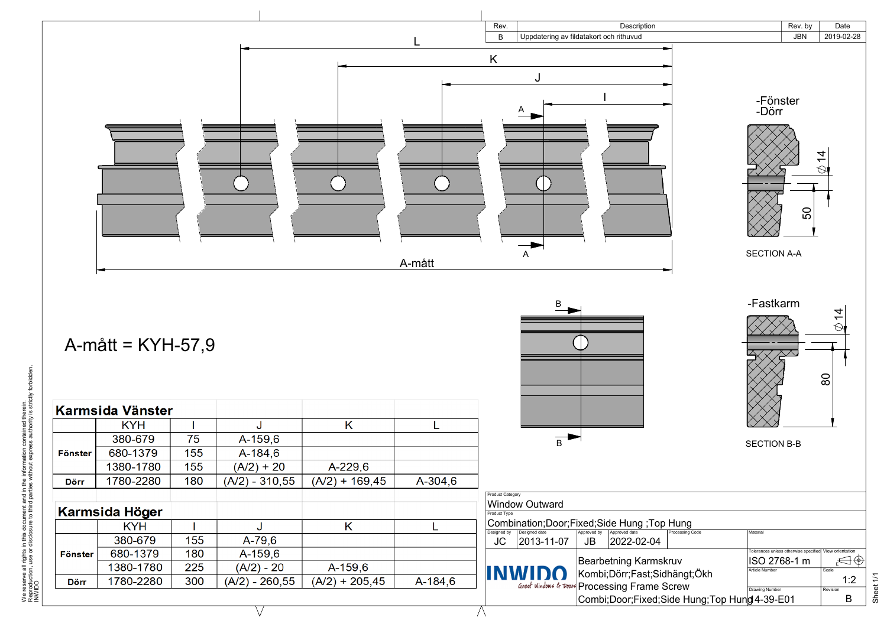

 $\bigwedge$ 

## A-mått = KYH-57,9



|                                          |                                         | Rev. by                                                | Date                 |           |
|------------------------------------------|-----------------------------------------|--------------------------------------------------------|----------------------|-----------|
|                                          |                                         | <b>JBN</b>                                             | 2019-02-28           |           |
|                                          | -Fönster<br>-Dörr<br><b>SECTION A-A</b> | 50                                                     | $\frac{4}{3}$        |           |
|                                          | -Fastkarm<br><b>SECTION B-B</b>         |                                                        | $\overline{4}$<br>80 |           |
| Hung<br><b>Processing Code</b>           | Material                                |                                                        |                      |           |
| ruv<br>hängt;Ökh                         | ISO 2768-1 m<br><b>Article Number</b>   | Tolerances unless otherwise specified View orientation | Scale                |           |
| crew                                     | <b>Drawing Number</b>                   |                                                        | 1:2<br>Revision      | Sheet 1/1 |
| ide Hung;Top Hun <mark>g</mark> 4-39-E01 |                                         |                                                        | B                    |           |

|                | Karmsida Vänster      |     |                  |                  |         |                                                                                                    |
|----------------|-----------------------|-----|------------------|------------------|---------|----------------------------------------------------------------------------------------------------|
|                | <b>KYH</b>            |     | J                | K                |         |                                                                                                    |
|                | 380-679               | 75  | A-159,6          |                  |         | $\overline{B}$                                                                                     |
| <b>Fönster</b> | 680-1379              | 155 | A-184,6          |                  |         |                                                                                                    |
|                | 1380-1780             | 155 | $(A/2) + 20$     | $A-229,6$        |         |                                                                                                    |
| <b>Dörr</b>    | 1780-2280             | 180 | $(A/2) - 310,55$ | $(A/2) + 169,45$ | A-304,6 |                                                                                                    |
|                |                       |     |                  |                  |         | <b>Product Category</b>                                                                            |
|                | <b>Karmsida Höger</b> |     |                  |                  |         | <b>Window Outward</b><br>Product Type                                                              |
|                | <b>KYH</b>            |     |                  | Κ                |         | Combination;Door;Fixed;Side Hung ;Top I<br>Approved date                                           |
|                | 380-679               | 155 | $A-79,6$         |                  |         | Designed date<br>Designed by<br>Approved by<br><b>JC</b><br>$ 2013 - 11 - 07 $<br>2022-02-04<br>JB |
| <b>Fönster</b> | 680-1379              | 180 | A-159,6          |                  |         |                                                                                                    |
|                | 1380-1780             | 225 | $(A/2) - 20$     | A-159,6          |         | <b>Bearbetning Karmski</b><br><b>INWIDO</b><br>Kombi; Dörr; Fast; Sidh                             |
| <b>Dörr</b>    | 1780-2280             | 300 | $(A/2) - 260,55$ | $(A/2) + 205,45$ | A-184,6 | Great Windows & Doors Processing Frame So                                                          |
|                |                       |     |                  |                  |         | Combi;Door;Fixed;Si                                                                                |

 $\vee$